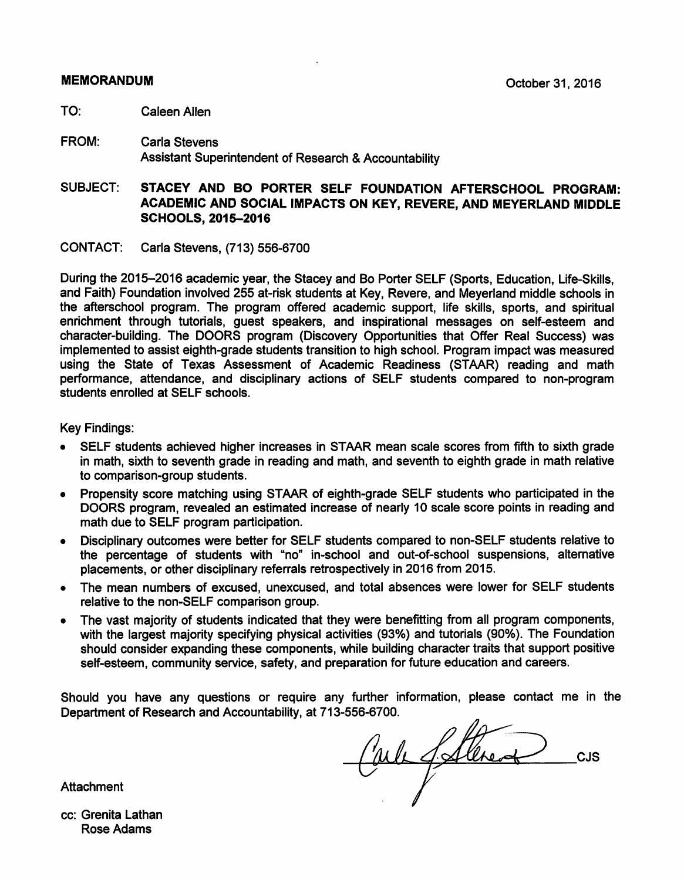# **MEMORANDUM**

- TO<sup>.</sup> Caleen Allen
- FROM: **Carla Stevens** Assistant Superintendent of Research & Accountability
- SUBJECT: STACEY AND BO PORTER SELF FOUNDATION AFTERSCHOOL PROGRAM: **ACADEMIC AND SOCIAL IMPACTS ON KEY. REVERE. AND MEYERLAND MIDDLE SCHOOLS, 2015-2016**
- CONTACT: Carla Stevens, (713) 556-6700

During the 2015–2016 academic year, the Stacey and Bo Porter SELF (Sports, Education, Life-Skills, and Faith) Foundation involved 255 at-risk students at Key, Revere, and Meverland middle schools in the afterschool program. The program offered academic support, life skills, sports, and spiritual enrichment through tutorials, guest speakers, and inspirational messages on self-esteem and character-building. The DOORS program (Discovery Opportunities that Offer Real Success) was implemented to assist eighth-grade students transition to high school. Program impact was measured using the State of Texas Assessment of Academic Readiness (STAAR) reading and math performance, attendance, and disciplinary actions of SELF students compared to non-program students enrolled at SELF schools.

**Key Findings:** 

- SELF students achieved higher increases in STAAR mean scale scores from fifth to sixth grade in math, sixth to seventh grade in reading and math, and seventh to eighth grade in math relative to comparison-group students.
- Propensity score matching using STAAR of eighth-grade SELF students who participated in the DOORS program, revealed an estimated increase of nearly 10 scale score points in reading and math due to SELF program participation.
- Disciplinary outcomes were better for SELF students compared to non-SELF students relative to the percentage of students with "no" in-school and out-of-school suspensions, alternative placements, or other disciplinary referrals retrospectively in 2016 from 2015.
- The mean numbers of excused, unexcused, and total absences were lower for SELF students relative to the non-SELF comparison group.
- The vast majority of students indicated that they were benefitting from all program components, with the largest majority specifying physical activities (93%) and tutorials (90%). The Foundation should consider expanding these components, while building character traits that support positive self-esteem, community service, safety, and preparation for future education and careers.

Should you have any questions or require any further information, please contact me in the Department of Research and Accountability, at 713-556-6700.

Carles Sattered CJS

**Attachment** 

cc: Grenita Lathan **Rose Adams**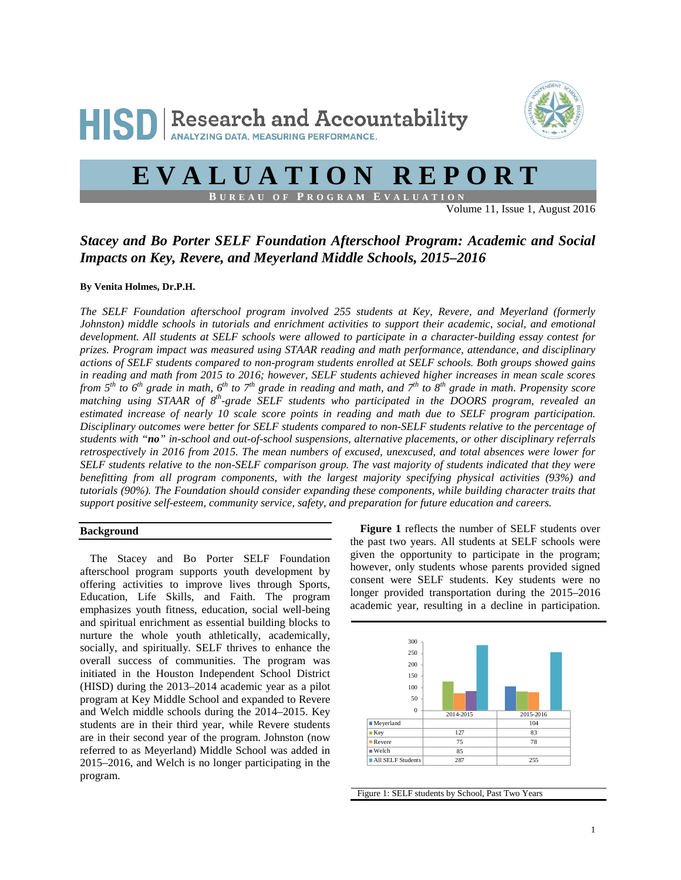

# **EVALUATION REPORT**

**B UREAU OF P ROGRAM E VALUATION**

Volume 11, Issue 1, August 2016

# *Stacey and Bo Porter SELF Foundation Afterschool Program: Academic and Social Impacts on Key, Revere, and Meyerland Middle Schools, 2015–2016*

## **By Venita Holmes, Dr.P.H.**

*The SELF Foundation afterschool program involved 255 students at Key, Revere, and Meyerland (formerly Johnston) middle schools in tutorials and enrichment activities to support their academic, social, and emotional development. All students at SELF schools were allowed to participate in a character-building essay contest for prizes. Program impact was measured using STAAR reading and math performance, attendance, and disciplinary actions of SELF students compared to non-program students enrolled at SELF schools. Both groups showed gains in reading and math from 2015 to 2016; however, SELF students achieved higher increases in mean scale scores from*  $5^{th}$  *to*  $6^{th}$  *grade in math,*  $6^{th}$  *to*  $7^{th}$  *grade in reading and math, and*  $7^{th}$  *to*  $8^{th}$  *grade in math. Propensity score matching using STAAR of 8th-grade SELF students who participated in the DOORS program, revealed an estimated increase of nearly 10 scale score points in reading and math due to SELF program participation. Disciplinary outcomes were better for SELF students compared to non-SELF students relative to the percentage of students with "no" in-school and out-of-school suspensions, alternative placements, or other disciplinary referrals retrospectively in 2016 from 2015. The mean numbers of excused, unexcused, and total absences were lower for SELF students relative to the non-SELF comparison group. The vast majority of students indicated that they were benefitting from all program components, with the largest majority specifying physical activities (93%) and tutorials (90%). The Foundation should consider expanding these components, while building character traits that support positive self-esteem, community service, safety, and preparation for future education and careers.*

# **Background**

The Stacey and Bo Porter SELF Foundation afterschool program supports youth development by offering activities to improve lives through Sports, Education, Life Skills, and Faith. The program emphasizes youth fitness, education, social well-being and spiritual enrichment as essential building blocks to nurture the whole youth athletically, academically, socially, and spiritually. SELF thrives to enhance the overall success of communities. The program was initiated in the Houston Independent School District (HISD) during the 2013–2014 academic year as a pilot program at Key Middle School and expanded to Revere and Welch middle schools during the 2014–2015. Key students are in their third year, while Revere students are in their second year of the program. Johnston (now referred to as Meyerland) Middle School was added in 2015–2016, and Welch is no longer participating in the program.

**Figure 1** reflects the number of SELF students over the past two years. All students at SELF schools were given the opportunity to participate in the program; however, only students whose parents provided signed consent were SELF students. Key students were no longer provided transportation during the 2015–2016 academic year, resulting in a decline in participation.



Figure 1: SELF students by School, Past Two Years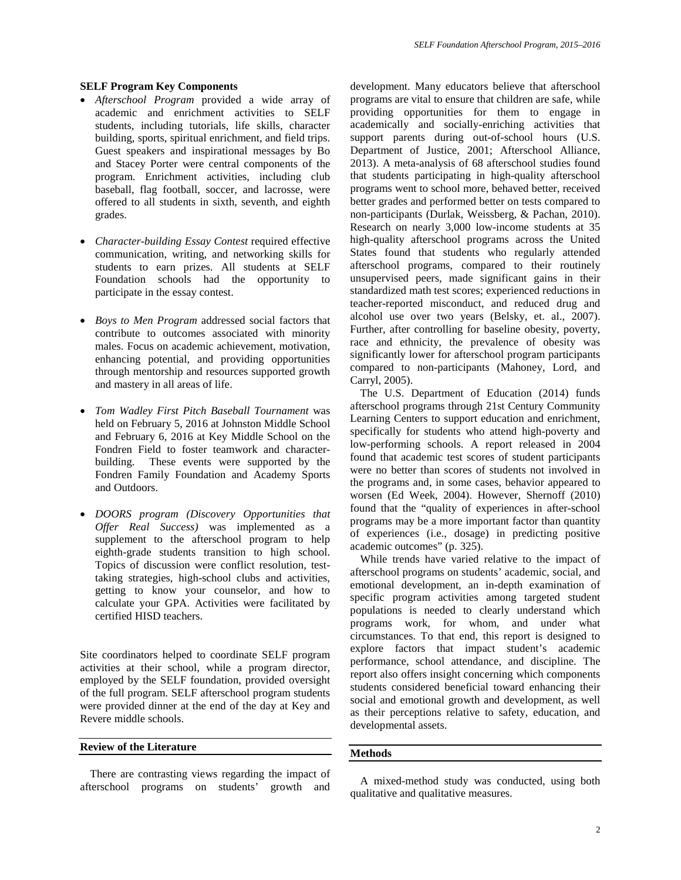#### **SELF Program Key Components**

- *Afterschool Program* provided a wide array of academic and enrichment activities to SELF students, including tutorials, life skills, character building, sports, spiritual enrichment, and field trips. Guest speakers and inspirational messages by Bo and Stacey Porter were central components of the program. Enrichment activities, including club baseball, flag football, soccer, and lacrosse, were offered to all students in sixth, seventh, and eighth grades.
- *Character-building Essay Contest* required effective communication, writing, and networking skills for students to earn prizes. All students at SELF Foundation schools had the opportunity to participate in the essay contest.
- *Boys to Men Program* addressed social factors that contribute to outcomes associated with minority males. Focus on academic achievement, motivation, enhancing potential, and providing opportunities through mentorship and resources supported growth and mastery in all areas of life.
- *Tom Wadley First Pitch Baseball Tournament* was held on February 5, 2016 at Johnston Middle School and February 6, 2016 at Key Middle School on the Fondren Field to foster teamwork and characterbuilding. These events were supported by the Fondren Family Foundation and Academy Sports and Outdoors.
- *DOORS program (Discovery Opportunities that Offer Real Success)* was implemented as a supplement to the afterschool program to help eighth-grade students transition to high school. Topics of discussion were conflict resolution, testtaking strategies, high-school clubs and activities, getting to know your counselor, and how to calculate your GPA. Activities were facilitated by certified HISD teachers.

Site coordinators helped to coordinate SELF program activities at their school, while a program director, employed by the SELF foundation, provided oversight of the full program. SELF afterschool program students were provided dinner at the end of the day at Key and Revere middle schools.

#### **Review of the Literature**

There are contrasting views regarding the impact of afterschool programs on students' growth and development. Many educators believe that afterschool programs are vital to ensure that children are safe, while providing opportunities for them to engage in academically and socially-enriching activities that support parents during out-of-school hours (U.S. Department of Justice, 2001; Afterschool Alliance, 2013). A meta-analysis of 68 afterschool studies found that students participating in high-quality afterschool programs went to school more, behaved better, received better grades and performed better on tests compared to non-participants (Durlak, Weissberg, & Pachan, 2010). Research on nearly 3,000 low-income students at 35 high-quality afterschool programs across the United States found that students who regularly attended afterschool programs, compared to their routinely unsupervised peers, made significant gains in their standardized math test scores; experienced reductions in teacher-reported misconduct, and reduced drug and alcohol use over two years (Belsky, et. al., 2007). Further, after controlling for baseline obesity, poverty, race and ethnicity, the prevalence of obesity was significantly lower for afterschool program participants compared to non-participants (Mahoney, Lord, and Carryl, 2005).

The U.S. Department of Education (2014) funds afterschool programs through 21st Century Community Learning Centers to support education and enrichment, specifically for students who attend high-poverty and low-performing schools. A report released in 2004 found that academic test scores of student participants were no better than scores of students not involved in the programs and, in some cases, behavior appeared to worsen (Ed Week, 2004). However, Shernoff (2010) found that the "quality of experiences in after-school programs may be a more important factor than quantity of experiences (i.e., dosage) in predicting positive academic outcomes" (p. 325).

While trends have varied relative to the impact of afterschool programs on students' academic, social, and emotional development, an in-depth examination of specific program activities among targeted student populations is needed to clearly understand which programs work, for whom, and under what circumstances. To that end, this report is designed to explore factors that impact student's academic performance, school attendance, and discipline. The report also offers insight concerning which components students considered beneficial toward enhancing their social and emotional growth and development, as well as their perceptions relative to safety, education, and developmental assets.

## **Methods**

A mixed-method study was conducted, using both qualitative and qualitative measures.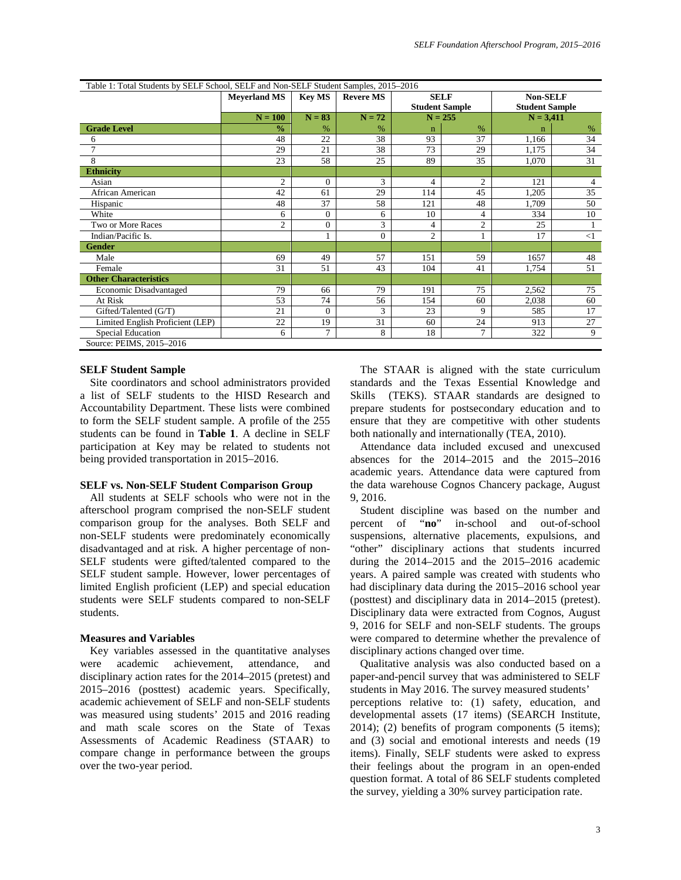| Table 1: Total Students by SELF School, SELF and Non-SELF Student Samples, 2015–2016 |                     |                |                  |                |                       |                       |                |  |
|--------------------------------------------------------------------------------------|---------------------|----------------|------------------|----------------|-----------------------|-----------------------|----------------|--|
|                                                                                      | <b>Meyerland MS</b> | <b>Kev MS</b>  | <b>Revere MS</b> | <b>SELF</b>    |                       | <b>Non-SELF</b>       |                |  |
|                                                                                      |                     |                |                  |                | <b>Student Sample</b> | <b>Student Sample</b> |                |  |
|                                                                                      | $N = 100$           | $N = 83$       | $N = 72$         |                | $N = 255$             |                       | $N = 3,411$    |  |
| <b>Grade Level</b>                                                                   | $\frac{0}{0}$       | $\%$           | $\%$             | $\mathbf n$    | $\%$                  | n                     | $\%$           |  |
| 6                                                                                    | 48                  | 22             | 38               | 93             | 37                    | 1,166                 | 34             |  |
| 7                                                                                    | 29                  | 21             | 38               | 73             | 29                    | 1,175                 | 34             |  |
| 8                                                                                    | 23                  | 58             | 25               | 89             | 35                    | 1,070                 | 31             |  |
| <b>Ethnicity</b>                                                                     |                     |                |                  |                |                       |                       |                |  |
| Asian                                                                                | $\overline{c}$      | $\Omega$       | 3                | $\overline{4}$ | $\overline{c}$        | 121                   | $\overline{4}$ |  |
| African American                                                                     | 42                  | 61             | 29               | 114            | 45                    | 1,205                 | 35             |  |
| Hispanic                                                                             | 48                  | 37             | 58               | 121            | 48                    | 1,709                 | 50             |  |
| White                                                                                | 6                   | $\Omega$       | 6                | 10             | 4                     | 334                   | 10             |  |
| Two or More Races                                                                    | $\overline{c}$      | $\mathbf{0}$   | 3                | 4              | $\overline{2}$        | 25                    |                |  |
| Indian/Pacific Is.                                                                   |                     |                | $\Omega$         | $\overline{2}$ |                       | 17                    | <1             |  |
| <b>Gender</b>                                                                        |                     |                |                  |                |                       |                       |                |  |
| Male                                                                                 | 69                  | 49             | 57               | 151            | 59                    | 1657                  | 48             |  |
| Female                                                                               | 31                  | 51             | 43               | 104            | 41                    | 1,754                 | 51             |  |
| <b>Other Characteristics</b>                                                         |                     |                |                  |                |                       |                       |                |  |
| Economic Disadvantaged                                                               | 79                  | 66             | 79               | 191            | 75                    | 2,562                 | 75             |  |
| At Risk                                                                              | 53                  | 74             | 56               | 154            | 60                    | 2,038                 | 60             |  |
| Gifted/Talented (G/T)                                                                | 21                  | $\Omega$       | 3                | 23             | 9                     | 585                   | 17             |  |
| Limited English Proficient (LEP)                                                     | 22                  | 19             | 31               | 60             | 24                    | 913                   | 27             |  |
| Special Education                                                                    | 6                   | $\overline{7}$ | 8                | 18             | $\overline{7}$        | 322                   | 9              |  |
| Source: PEIMS, 2015-2016                                                             |                     |                |                  |                |                       |                       |                |  |

## **SELF Student Sample**

Site coordinators and school administrators provided a list of SELF students to the HISD Research and Accountability Department. These lists were combined to form the SELF student sample. A profile of the 255 students can be found in **Table 1**. A decline in SELF participation at Key may be related to students not being provided transportation in 2015–2016.

#### **SELF vs. Non-SELF Student Comparison Group**

All students at SELF schools who were not in the afterschool program comprised the non-SELF student comparison group for the analyses. Both SELF and non-SELF students were predominately economically disadvantaged and at risk. A higher percentage of non-SELF students were gifted/talented compared to the SELF student sample. However, lower percentages of limited English proficient (LEP) and special education students were SELF students compared to non-SELF students.

#### **Measures and Variables**

Key variables assessed in the quantitative analyses were academic achievement, attendance, and disciplinary action rates for the 2014–2015 (pretest) and 2015–2016 (posttest) academic years. Specifically, academic achievement of SELF and non-SELF students was measured using students' 2015 and 2016 reading and math scale scores on the State of Texas Assessments of Academic Readiness (STAAR) to compare change in performance between the groups over the two-year period.

The STAAR is aligned with the state curriculum standards and the Texas Essential Knowledge and Skills (TEKS). STAAR standards are designed to prepare students for postsecondary education and to ensure that they are competitive with other students both nationally and internationally (TEA, 2010).

Attendance data included excused and unexcused absences for the 2014–2015 and the 2015–2016 academic years. Attendance data were captured from the data warehouse Cognos Chancery package, August 9, 2016.

Student discipline was based on the number and percent of "**no**" in-school and out-of-school suspensions, alternative placements, expulsions, and "other" disciplinary actions that students incurred during the 2014–2015 and the 2015–2016 academic years. A paired sample was created with students who had disciplinary data during the 2015–2016 school year (posttest) and disciplinary data in 2014–2015 (pretest). Disciplinary data were extracted from Cognos, August 9, 2016 for SELF and non-SELF students. The groups were compared to determine whether the prevalence of disciplinary actions changed over time.

Qualitative analysis was also conducted based on a paper-and-pencil survey that was administered to SELF students in May 2016. The survey measured students' perceptions relative to: (1) safety, education, and developmental assets (17 items) (SEARCH Institute, 2014); (2) benefits of program components (5 items); and (3) social and emotional interests and needs (19 items). Finally, SELF students were asked to express their feelings about the program in an open-ended question format. A total of 86 SELF students completed the survey, yielding a 30% survey participation rate.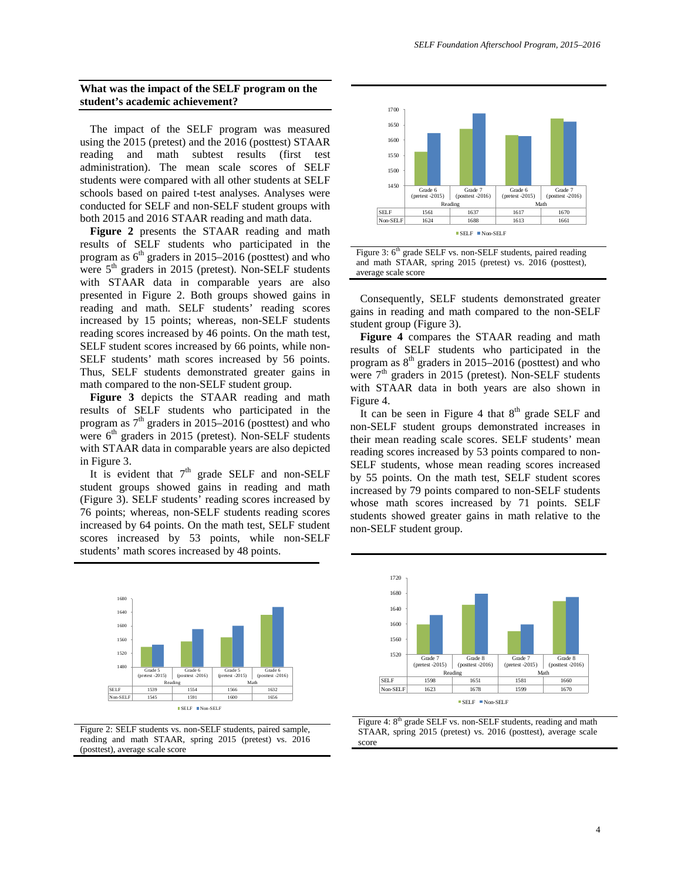#### **What was the impact of the SELF program on the student's academic achievement?**

The impact of the SELF program was measured using the 2015 (pretest) and the 2016 (posttest) STAAR reading and math subtest results (first test administration). The mean scale scores of SELF students were compared with all other students at SELF schools based on paired t-test analyses. Analyses were conducted for SELF and non-SELF student groups with both 2015 and 2016 STAAR reading and math data.

**Figure 2** presents the STAAR reading and math results of SELF students who participated in the program as  $6<sup>th</sup>$  graders in 2015–2016 (posttest) and who were 5<sup>th</sup> graders in 2015 (pretest). Non-SELF students with STAAR data in comparable years are also presented in Figure 2. Both groups showed gains in reading and math. SELF students' reading scores increased by 15 points; whereas, non-SELF students reading scores increased by 46 points. On the math test, SELF student scores increased by 66 points, while non-SELF students' math scores increased by 56 points. Thus, SELF students demonstrated greater gains in math compared to the non-SELF student group.

**Figure 3** depicts the STAAR reading and math results of SELF students who participated in the program as  $7<sup>th</sup>$  graders in 2015–2016 (posttest) and who were  $6<sup>th</sup>$  graders in 2015 (pretest). Non-SELF students with STAAR data in comparable years are also depicted in Figure 3.

It is evident that  $7<sup>th</sup>$  grade SELF and non-SELF student groups showed gains in reading and math (Figure 3). SELF students' reading scores increased by 76 points; whereas, non-SELF students reading scores increased by 64 points. On the math test, SELF student scores increased by 53 points, while non-SELF students' math scores increased by 48 points.



Figure 2: SELF students vs. non-SELF students, paired sample, reading and math STAAR, spring 2015 (pretest) vs. 2016 (posttest), average scale score





Consequently, SELF students demonstrated greater gains in reading and math compared to the non-SELF student group (Figure 3).

**Figure 4** compares the STAAR reading and math results of SELF students who participated in the program as  $8<sup>th</sup>$  graders in 2015–2016 (posttest) and who were  $7<sup>th</sup>$  graders in 2015 (pretest). Non-SELF students with STAAR data in both years are also shown in Figure 4.

It can be seen in Figure 4 that  $8<sup>th</sup>$  grade SELF and non-SELF student groups demonstrated increases in their mean reading scale scores. SELF students' mean reading scores increased by 53 points compared to non-SELF students, whose mean reading scores increased by 55 points. On the math test, SELF student scores increased by 79 points compared to non-SELF students whose math scores increased by 71 points. SELF students showed greater gains in math relative to the non-SELF student group.



Figure 4: 8<sup>th</sup> grade SELF vs. non-SELF students, reading and math STAAR, spring 2015 (pretest) vs. 2016 (posttest), average scale score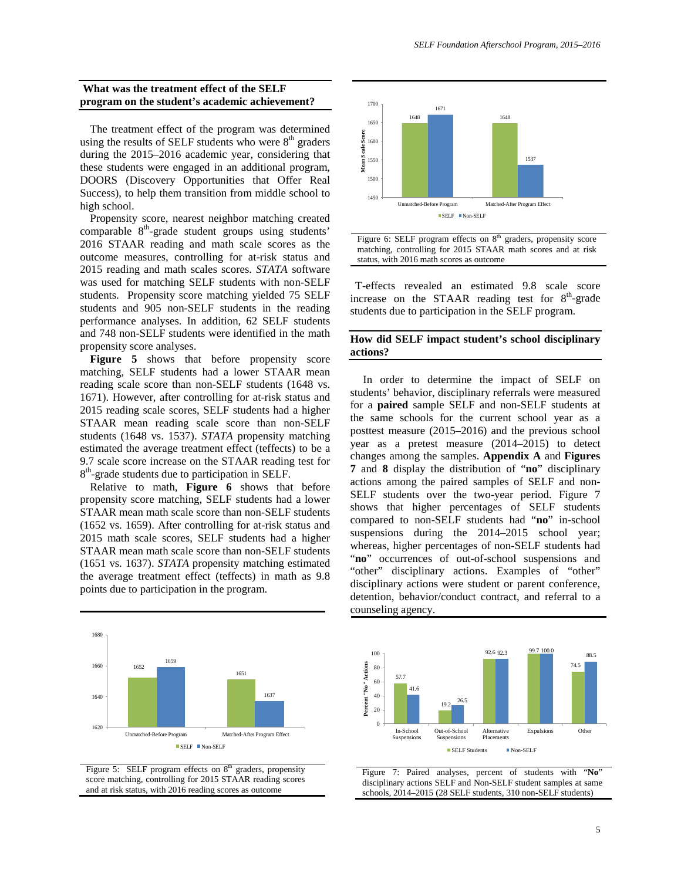#### **What was the treatment effect of the SELF program on the student's academic achievement?**

The treatment effect of the program was determined using the results of SELF students who were  $8<sup>th</sup>$  graders during the 2015–2016 academic year, considering that these students were engaged in an additional program, DOORS (Discovery Opportunities that Offer Real Success), to help them transition from middle school to high school.

Propensity score, nearest neighbor matching created comparable  $8<sup>th</sup>$ -grade student groups using students' 2016 STAAR reading and math scale scores as the outcome measures, controlling for at-risk status and 2015 reading and math scales scores. *STATA* software was used for matching SELF students with non-SELF students. Propensity score matching yielded 75 SELF students and 905 non-SELF students in the reading performance analyses. In addition, 62 SELF students and 748 non-SELF students were identified in the math propensity score analyses.

Figure 5 shows that before propensity score matching, SELF students had a lower STAAR mean reading scale score than non-SELF students (1648 vs. 1671). However, after controlling for at-risk status and 2015 reading scale scores, SELF students had a higher STAAR mean reading scale score than non-SELF students (1648 vs. 1537). *STATA* propensity matching estimated the average treatment effect (teffects) to be a 9.7 scale score increase on the STAAR reading test for 8<sup>th</sup>-grade students due to participation in SELF.

Relative to math, **Figure 6** shows that before propensity score matching, SELF students had a lower STAAR mean math scale score than non-SELF students (1652 vs. 1659). After controlling for at-risk status and 2015 math scale scores, SELF students had a higher STAAR mean math scale score than non-SELF students (1651 vs. 1637). *STATA* propensity matching estimated the average treatment effect (teffects) in math as 9.8 points due to participation in the program.









T-effects revealed an estimated 9.8 scale score increase on the STAAR reading test for  $8<sup>th</sup>$ -grade students due to participation in the SELF program.

#### **How did SELF impact student's school disciplinary actions?**

In order to determine the impact of SELF on students' behavior, disciplinary referrals were measured for a **paired** sample SELF and non-SELF students at the same schools for the current school year as a posttest measure (2015–2016) and the previous school year as a pretest measure (2014–2015) to detect changes among the samples. **Appendix A** and **Figures 7** and **8** display the distribution of "**no**" disciplinary actions among the paired samples of SELF and non-SELF students over the two-year period. Figure 7 shows that higher percentages of SELF students compared to non-SELF students had "**no**" in-school suspensions during the 2014–2015 school year; whereas, higher percentages of non-SELF students had "no" occurrences of out-of-school suspensions and "other" disciplinary actions. Examples of "other" disciplinary actions were student or parent conference, detention, behavior/conduct contract, and referral to a counseling agency.



Figure 7: Paired analyses, percent of students with "**No**" disciplinary actions SELF and Non-SELF student samples at same schools, 2014–2015 (28 SELF students, 310 non-SELF students)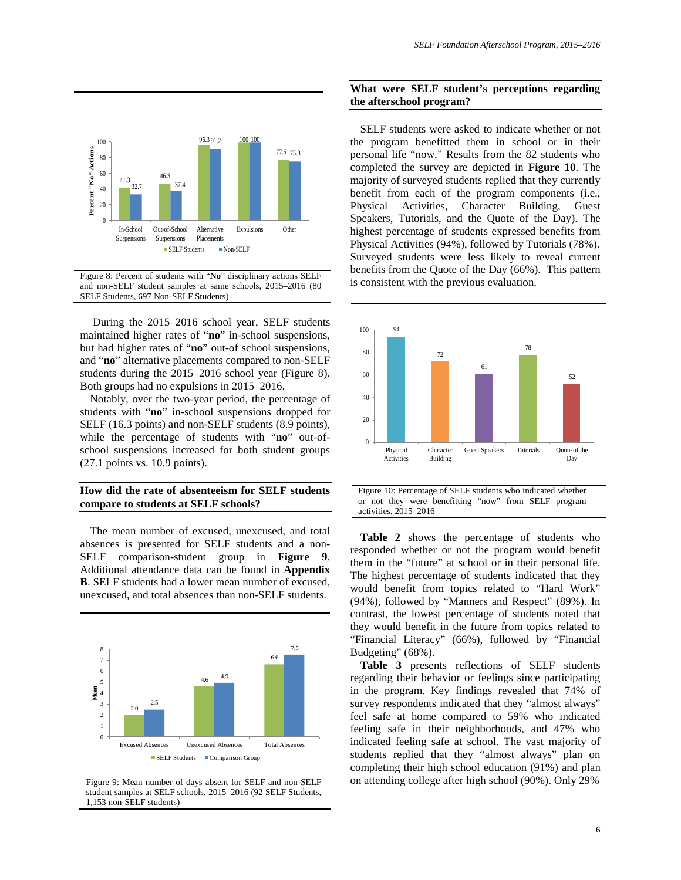

Figure 8: Percent of students with "**No**" disciplinary actions SELF and non-SELF student samples at same schools, 2015–2016 (80 SELF Students, 697 Non-SELF Students)

During the 2015–2016 school year, SELF students maintained higher rates of "**no**" in-school suspensions, but had higher rates of "**no**" out-of school suspensions, and "**no**" alternative placements compared to non-SELF students during the 2015–2016 school year (Figure 8). Both groups had no expulsions in 2015–2016.

Notably, over the two-year period, the percentage of students with "**no**" in-school suspensions dropped for SELF (16.3 points) and non-SELF students (8.9 points), while the percentage of students with "**no**" out-ofschool suspensions increased for both student groups (27.1 points vs. 10.9 points).

# **How did the rate of absenteeism for SELF students compare to students at SELF schools?**

The mean number of excused, unexcused, and total absences is presented for SELF students and a non-SELF comparison-student group in **Figure 9**. Additional attendance data can be found in **Appendix B**. SELF students had a lower mean number of excused, unexcused, and total absences than non-SELF students.



Figure 9: Mean number of days absent for SELF and non-SELF student samples at SELF schools, 2015–2016 (92 SELF Students, 1,153 non-SELF students)

#### **What were SELF student's perceptions regarding the afterschool program?**

SELF students were asked to indicate whether or not the program benefitted them in school or in their personal life "now." Results from the 82 students who completed the survey are depicted in **Figure 10**. The majority of surveyed students replied that they currently benefit from each of the program components (i.e., Physical Activities, Character Building, Guest Speakers, Tutorials, and the Quote of the Day). The highest percentage of students expressed benefits from Physical Activities (94%), followed by Tutorials (78%). Surveyed students were less likely to reveal current benefits from the Quote of the Day (66%). This pattern is consistent with the previous evaluation.



**Table 2** shows the percentage of students who responded whether or not the program would benefit them in the "future" at school or in their personal life. The highest percentage of students indicated that they would benefit from topics related to "Hard Work" (94%), followed by "Manners and Respect" (89%). In contrast, the lowest percentage of students noted that they would benefit in the future from topics related to "Financial Literacy" (66%), followed by "Financial Budgeting" (68%).

**Table 3** presents reflections of SELF students regarding their behavior or feelings since participating in the program. Key findings revealed that 74% of survey respondents indicated that they "almost always" feel safe at home compared to 59% who indicated feeling safe in their neighborhoods, and 47% who indicated feeling safe at school. The vast majority of students replied that they "almost always" plan on completing their high school education (91%) and plan on attending college after high school (90%). Only 29%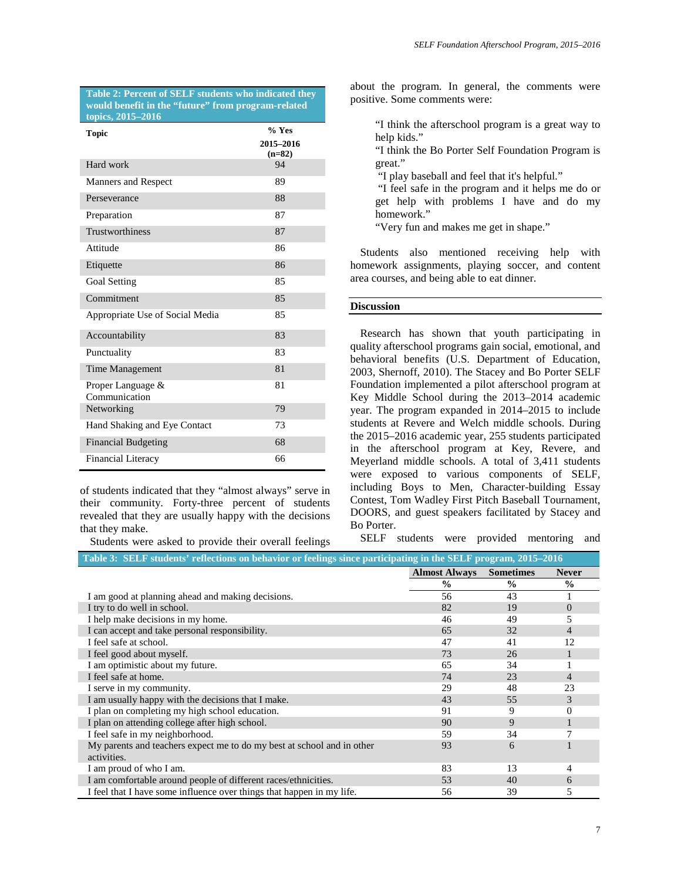**Table 2: Percent of SELF students who indicated they would benefit in the "future" from program-related topics, 2015–2016**

| Topic                              | $%$ Yes               |  |  |
|------------------------------------|-----------------------|--|--|
|                                    | 2015-2016<br>$(n=82)$ |  |  |
| Hard work                          | 94                    |  |  |
| Manners and Respect                | 89                    |  |  |
| Perseverance                       | 88                    |  |  |
| Preparation                        | 87                    |  |  |
| Trustworthiness                    | 87                    |  |  |
| Attitude                           | 86                    |  |  |
| Etiquette                          | 86                    |  |  |
| Goal Setting                       | 85                    |  |  |
| Commitment                         | 85                    |  |  |
| Appropriate Use of Social Media    | 85                    |  |  |
| Accountability                     | 83                    |  |  |
| Punctuality                        | 83                    |  |  |
| Time Management                    | 81                    |  |  |
| Proper Language &<br>Communication | 81                    |  |  |
| Networking                         | 79                    |  |  |
| Hand Shaking and Eye Contact       | 73                    |  |  |
| <b>Financial Budgeting</b>         | 68                    |  |  |
| <b>Financial Literacy</b>          | 66                    |  |  |

of students indicated that they "almost always" serve in their community. Forty-three percent of students revealed that they are usually happy with the decisions that they make.

Students were asked to provide their overall feelings

about the program. In general, the comments were positive. Some comments were:

"I think the afterschool program is a great way to help kids."

"I think the Bo Porter Self Foundation Program is great."

"I play baseball and feel that it's helpful."

"I feel safe in the program and it helps me do or get help with problems I have and do my homework."

"Very fun and makes me get in shape."

Students also mentioned receiving help with homework assignments, playing soccer, and content area courses, and being able to eat dinner.

#### **Discussion**

Research has shown that youth participating in quality afterschool programs gain social, emotional, and behavioral benefits (U.S. Department of Education, 2003, Shernoff, 2010). The Stacey and Bo Porter SELF Foundation implemented a pilot afterschool program at Key Middle School during the 2013–2014 academic year. The program expanded in 2014–2015 to include students at Revere and Welch middle schools. During the 2015–2016 academic year, 255 students participated in the afterschool program at Key, Revere, and Meyerland middle schools. A total of 3,411 students were exposed to various components of SELF, including Boys to Men, Character-building Essay Contest, Tom Wadley First Pitch Baseball Tournament, DOORS, and guest speakers facilitated by Stacey and Bo Porter.

SELF students were provided mentoring and

| Table 3: SELF students' reflections on behavior or feelings since participating in the SELF program, 2015–2016 |                      |                  |                |  |  |  |
|----------------------------------------------------------------------------------------------------------------|----------------------|------------------|----------------|--|--|--|
|                                                                                                                | <b>Almost Always</b> | <b>Sometimes</b> | <b>Never</b>   |  |  |  |
|                                                                                                                | $\frac{0}{0}$        | $\frac{0}{0}$    | $\frac{0}{0}$  |  |  |  |
| I am good at planning ahead and making decisions.                                                              | 56                   | 43               |                |  |  |  |
| I try to do well in school.                                                                                    | 82                   | 19               | $\overline{0}$ |  |  |  |
| I help make decisions in my home.                                                                              | 46                   | 49               | 5              |  |  |  |
| I can accept and take personal responsibility.                                                                 | 65                   | 32               | 4              |  |  |  |
| I feel safe at school.                                                                                         | 47                   | 41               | 12             |  |  |  |
| I feel good about myself.                                                                                      | 73                   | 26               |                |  |  |  |
| I am optimistic about my future.                                                                               | 65                   | 34               |                |  |  |  |
| I feel safe at home.                                                                                           | 74                   | 23               | 4              |  |  |  |
| I serve in my community.                                                                                       | 29                   | 48               | 23             |  |  |  |
| I am usually happy with the decisions that I make.                                                             | 43                   | 55               | 3              |  |  |  |
| I plan on completing my high school education.                                                                 | 91                   | 9                | $\Omega$       |  |  |  |
| I plan on attending college after high school.                                                                 | 90                   | 9                |                |  |  |  |
| I feel safe in my neighborhood.                                                                                | 59                   | 34               |                |  |  |  |
| My parents and teachers expect me to do my best at school and in other                                         | 93                   | 6                |                |  |  |  |
| activities.                                                                                                    |                      |                  |                |  |  |  |
| I am proud of who I am.                                                                                        | 83                   | 13               | 4              |  |  |  |
| I am comfortable around people of different races/ethnicities.                                                 | 53                   | 40               | 6              |  |  |  |
| I feel that I have some influence over things that happen in my life.                                          | 56                   | 39               | 5              |  |  |  |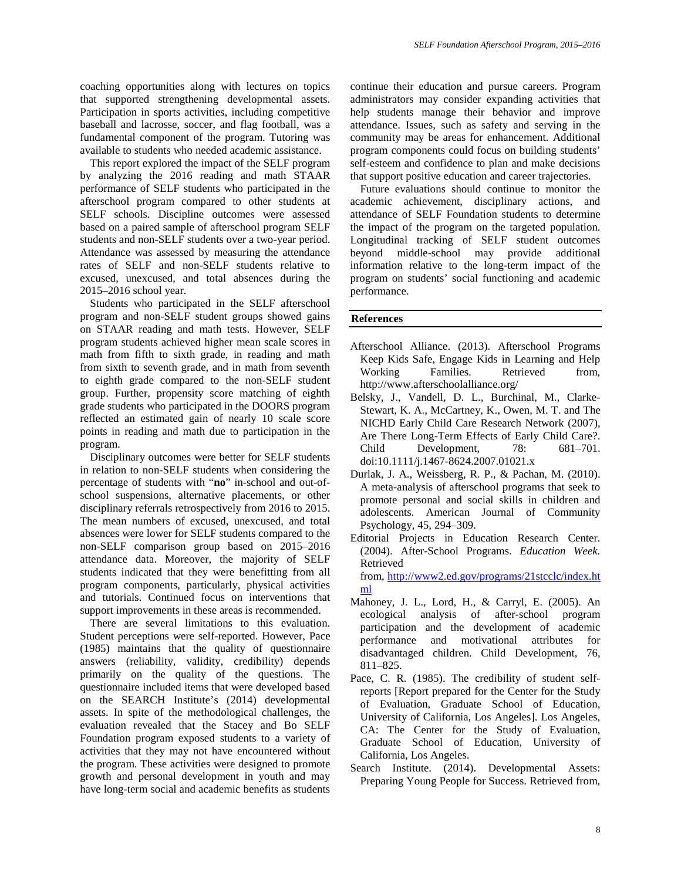coaching opportunities along with lectures on topics that supported strengthening developmental assets. Participation in sports activities, including competitive baseball and lacrosse, soccer, and flag football, was a fundamental component of the program. Tutoring was available to students who needed academic assistance.

This report explored the impact of the SELF program by analyzing the 2016 reading and math STAAR performance of SELF students who participated in the afterschool program compared to other students at SELF schools. Discipline outcomes were assessed based on a paired sample of afterschool program SELF students and non-SELF students over a two-year period. Attendance was assessed by measuring the attendance rates of SELF and non-SELF students relative to excused, unexcused, and total absences during the 2015–2016 school year.

Students who participated in the SELF afterschool program and non-SELF student groups showed gains on STAAR reading and math tests. However, SELF program students achieved higher mean scale scores in math from fifth to sixth grade, in reading and math from sixth to seventh grade, and in math from seventh to eighth grade compared to the non-SELF student group. Further, propensity score matching of eighth grade students who participated in the DOORS program reflected an estimated gain of nearly 10 scale score points in reading and math due to participation in the program.

Disciplinary outcomes were better for SELF students in relation to non-SELF students when considering the percentage of students with "**no**" in-school and out-ofschool suspensions, alternative placements, or other disciplinary referrals retrospectively from 2016 to 2015. The mean numbers of excused, unexcused, and total absences were lower for SELF students compared to the non-SELF comparison group based on 2015–2016 attendance data. Moreover, the majority of SELF students indicated that they were benefitting from all program components, particularly, physical activities and tutorials. Continued focus on interventions that support improvements in these areas is recommended.

There are several limitations to this evaluation. Student perceptions were self-reported. However, Pace (1985) maintains that the quality of questionnaire answers (reliability, validity, credibility) depends primarily on the quality of the questions. The questionnaire included items that were developed based on the SEARCH Institute's (2014) developmental assets. In spite of the methodological challenges, the evaluation revealed that the Stacey and Bo SELF Foundation program exposed students to a variety of activities that they may not have encountered without the program. These activities were designed to promote growth and personal development in youth and may have long-term social and academic benefits as students

continue their education and pursue careers. Program administrators may consider expanding activities that help students manage their behavior and improve attendance. Issues, such as safety and serving in the community may be areas for enhancement. Additional program components could focus on building students' self-esteem and confidence to plan and make decisions that support positive education and career trajectories.

Future evaluations should continue to monitor the academic achievement, disciplinary actions, and attendance of SELF Foundation students to determine the impact of the program on the targeted population. Longitudinal tracking of SELF student outcomes beyond middle-school may provide additional information relative to the long-term impact of the program on students' social functioning and academic performance.

#### **References**

- Afterschool Alliance. (2013). Afterschool Programs Keep Kids Safe, Engage Kids in Learning and Help Working Families. Retrieved from, http://www.afterschoolalliance.org/
- Belsky, J., Vandell, D. L., Burchinal, M., Clarke-Stewart, K. A., McCartney, K., Owen, M. T. and The NICHD Early Child Care Research Network (2007), Are There Long-Term Effects of Early Child Care?. Child Development, 78: 681–701. doi:10.1111/j.1467-8624.2007.01021.x
- Durlak, J. A., Weissberg, R. P., & Pachan, M. (2010). A meta-analysis of afterschool programs that seek to promote personal and social skills in children and adolescents. American Journal of Community Psychology, 45, 294–309.
- Editorial Projects in Education Research Center. (2004). After-School Programs. *Education Week.* Retrieved

from, [http://www2.ed.gov/programs/21stcclc/index.ht](http://www2.ed.gov/programs/21stcclc/index.html) [ml](http://www2.ed.gov/programs/21stcclc/index.html)

- Mahoney, J. L., Lord, H., & Carryl, E. (2005). An ecological analysis of after-school program participation and the development of academic performance and motivational attributes for disadvantaged children. Child Development, 76, 811–825.
- Pace, C. R. (1985). The credibility of student selfreports [Report prepared for the Center for the Study of Evaluation, Graduate School of Education, University of California, Los Angeles]. Los Angeles, CA: The Center for the Study of Evaluation, Graduate School of Education, University of California, Los Angeles.
- Search Institute. (2014). Developmental Assets: Preparing Young People for Success. Retrieved from,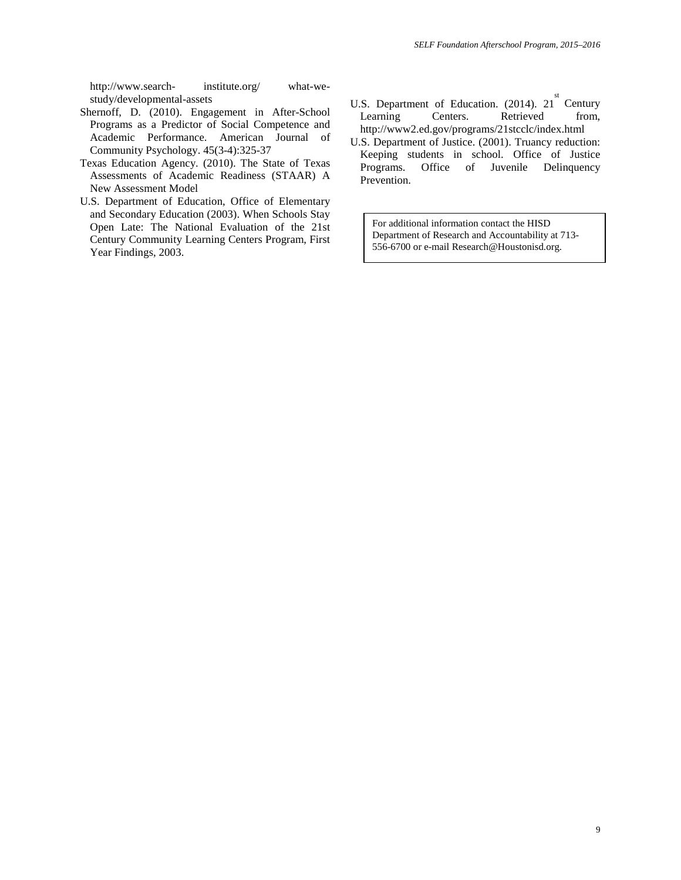http://www.search- institute.org/ what-westudy/developmental-assets

- Shernoff, D. (2010). Engagement in After-School Programs as a Predictor of Social Competence and Academic Performance. American Journal of Community Psychology. 45(3-4):325-37
- Texas Education Agency. (2010). The State of Texas Assessments of Academic Readiness (STAAR) A New Assessment Model
- U.S. Department of Education, Office of Elementary and Secondary Education (2003). When Schools Stay Open Late: The National Evaluation of the 21st Century Community Learning Centers Program, First Year Findings, 2003.
- U.S. Department of Education.  $(2014)$ .  $21^{st}$  Century Learning Centers. Retrieved from, http://www2.ed.gov/programs/21stcclc/index.html
- U.S. Department of Justice. (2001). Truancy reduction: Keeping students in school. Office of Justice<br>Programs. Office of Juvenile Delinquency Programs. Office of Juvenile Delinquency Prevention.

For additional information contact the HISD Department of Research and Accountability at 713- 556-6700 or e-mail Research@Houstonisd.org.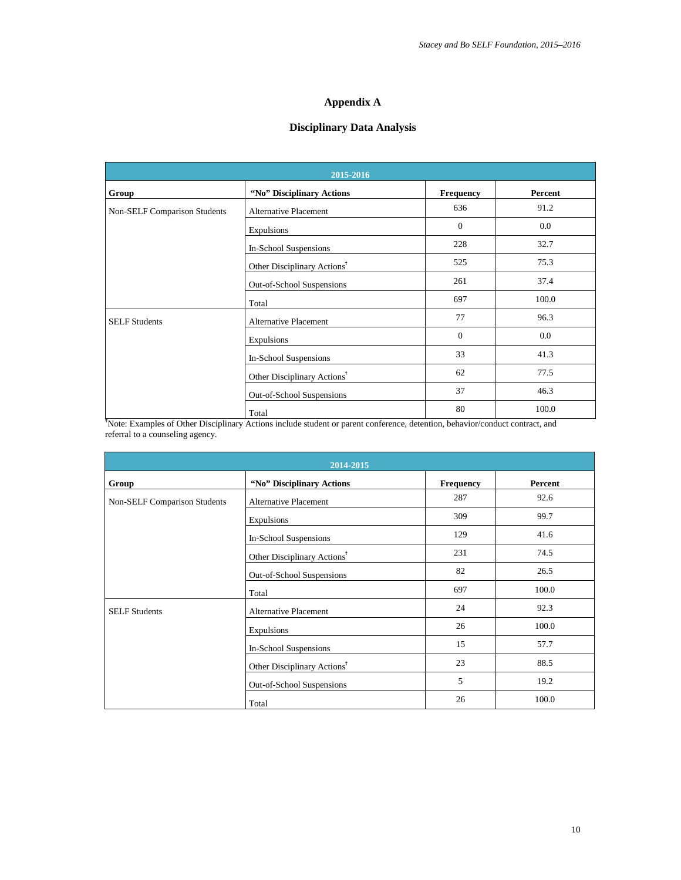# **Appendix A**

# **Disciplinary Data Analysis**

| 2015-2016                                                                                                                    |                                         |                  |         |  |  |  |
|------------------------------------------------------------------------------------------------------------------------------|-----------------------------------------|------------------|---------|--|--|--|
| Group                                                                                                                        | "No" Disciplinary Actions               | <b>Frequency</b> | Percent |  |  |  |
| <b>Non-SELF Comparison Students</b>                                                                                          | <b>Alternative Placement</b>            | 636              | 91.2    |  |  |  |
|                                                                                                                              | Expulsions                              | $\mathbf{0}$     | 0.0     |  |  |  |
|                                                                                                                              | In-School Suspensions                   | 228              | 32.7    |  |  |  |
|                                                                                                                              | Other Disciplinary Actions <sup>†</sup> | 525              | 75.3    |  |  |  |
|                                                                                                                              | Out-of-School Suspensions               | 261              | 37.4    |  |  |  |
|                                                                                                                              | Total                                   | 697              | 100.0   |  |  |  |
| <b>SELF Students</b>                                                                                                         | <b>Alternative Placement</b>            | 77               | 96.3    |  |  |  |
|                                                                                                                              | Expulsions                              | $\mathbf{0}$     | 0.0     |  |  |  |
|                                                                                                                              | In-School Suspensions                   | 33               | 41.3    |  |  |  |
|                                                                                                                              | Other Disciplinary Actions <sup>†</sup> | 62               | 77.5    |  |  |  |
|                                                                                                                              | Out-of-School Suspensions               | 37               | 46.3    |  |  |  |
|                                                                                                                              | Total                                   | 80               | 100.0   |  |  |  |
| Note: Examples of Other Disciplinary Actions include student or parent conference, detention, behavior/conduct contract, and |                                         |                  |         |  |  |  |

referral to a counseling agency.

| 2014-2015                           |                                         |           |         |  |  |
|-------------------------------------|-----------------------------------------|-----------|---------|--|--|
| Group                               | "No" Disciplinary Actions               | Frequency | Percent |  |  |
| <b>Non-SELF Comparison Students</b> | <b>Alternative Placement</b>            | 287       | 92.6    |  |  |
|                                     | Expulsions                              | 309       | 99.7    |  |  |
|                                     | In-School Suspensions                   | 129       | 41.6    |  |  |
|                                     | Other Disciplinary Actions <sup>†</sup> | 231       | 74.5    |  |  |
|                                     | Out-of-School Suspensions               | 82        | 26.5    |  |  |
|                                     | Total                                   | 697       | 100.0   |  |  |
| <b>SELF Students</b>                | <b>Alternative Placement</b>            | 24        | 92.3    |  |  |
|                                     | Expulsions                              | 26        | 100.0   |  |  |
|                                     | In-School Suspensions                   | 15        | 57.7    |  |  |
|                                     | Other Disciplinary Actions <sup>†</sup> | 23        | 88.5    |  |  |
|                                     | Out-of-School Suspensions               | 5         | 19.2    |  |  |
|                                     | Total                                   | 26        | 100.0   |  |  |